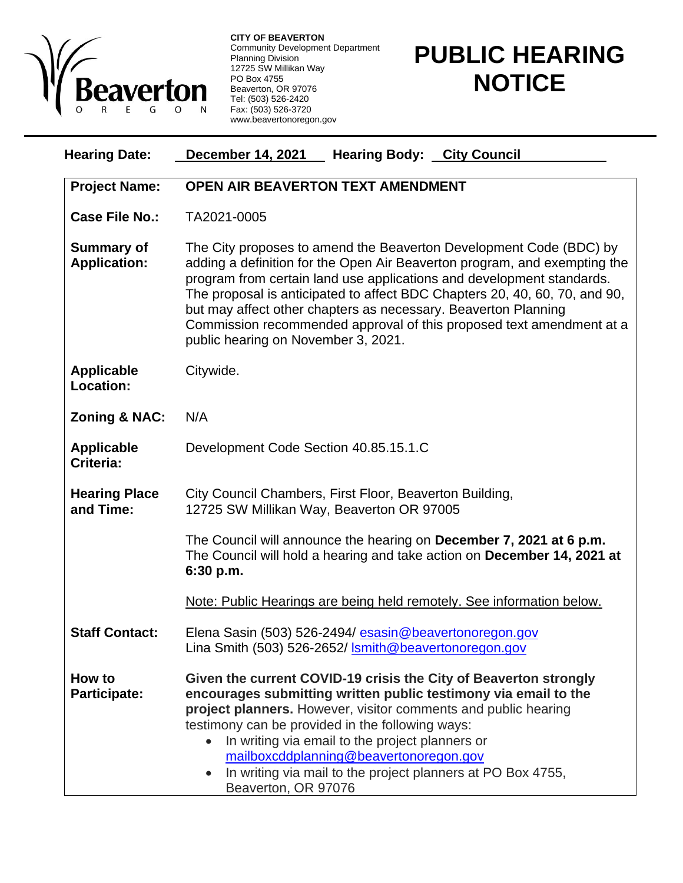

**CITY OF BEAVERTON** Community Development Department Planning Division 12725 SW Millikan Way PO Box 4755 Beaverton, OR 97076 Tel: (503) 526-2420 Fax: (503) 526-3720 www.beavertonoregon.gov

## **PUBLIC HEARING NOTICE**

| <b>Hearing Date:</b>                     | <b>December 14, 2021</b><br><b>Hearing Body: City Council</b>                                                                                                                                                                                                                                                                                                                                                                                                                           |
|------------------------------------------|-----------------------------------------------------------------------------------------------------------------------------------------------------------------------------------------------------------------------------------------------------------------------------------------------------------------------------------------------------------------------------------------------------------------------------------------------------------------------------------------|
| <b>Project Name:</b>                     | <b>OPEN AIR BEAVERTON TEXT AMENDMENT</b>                                                                                                                                                                                                                                                                                                                                                                                                                                                |
| <b>Case File No.:</b>                    | TA2021-0005                                                                                                                                                                                                                                                                                                                                                                                                                                                                             |
| <b>Summary of</b><br><b>Application:</b> | The City proposes to amend the Beaverton Development Code (BDC) by<br>adding a definition for the Open Air Beaverton program, and exempting the<br>program from certain land use applications and development standards.<br>The proposal is anticipated to affect BDC Chapters 20, 40, 60, 70, and 90,<br>but may affect other chapters as necessary. Beaverton Planning<br>Commission recommended approval of this proposed text amendment at a<br>public hearing on November 3, 2021. |
| <b>Applicable</b><br><b>Location:</b>    | Citywide.                                                                                                                                                                                                                                                                                                                                                                                                                                                                               |
| <b>Zoning &amp; NAC:</b>                 | N/A                                                                                                                                                                                                                                                                                                                                                                                                                                                                                     |
| <b>Applicable</b><br>Criteria:           | Development Code Section 40.85.15.1.C                                                                                                                                                                                                                                                                                                                                                                                                                                                   |
| <b>Hearing Place</b><br>and Time:        | City Council Chambers, First Floor, Beaverton Building,<br>12725 SW Millikan Way, Beaverton OR 97005                                                                                                                                                                                                                                                                                                                                                                                    |
|                                          | The Council will announce the hearing on December 7, 2021 at 6 p.m.<br>The Council will hold a hearing and take action on December 14, 2021 at<br>6:30 p.m.                                                                                                                                                                                                                                                                                                                             |
|                                          | Note: Public Hearings are being held remotely. See information below.                                                                                                                                                                                                                                                                                                                                                                                                                   |
| <b>Staff Contact:</b>                    | Elena Sasin (503) 526-2494/ esasin@beavertonoregon.gov<br>Lina Smith (503) 526-2652/ <b>Ismith@beavertonoregon.gov</b>                                                                                                                                                                                                                                                                                                                                                                  |
| How to<br><b>Participate:</b>            | Given the current COVID-19 crisis the City of Beaverton strongly<br>encourages submitting written public testimony via email to the<br>project planners. However, visitor comments and public hearing<br>testimony can be provided in the following ways:<br>In writing via email to the project planners or<br>mailboxcddplanning@beavertonoregon.gov<br>In writing via mail to the project planners at PO Box 4755,<br>Beaverton, OR 97076                                            |